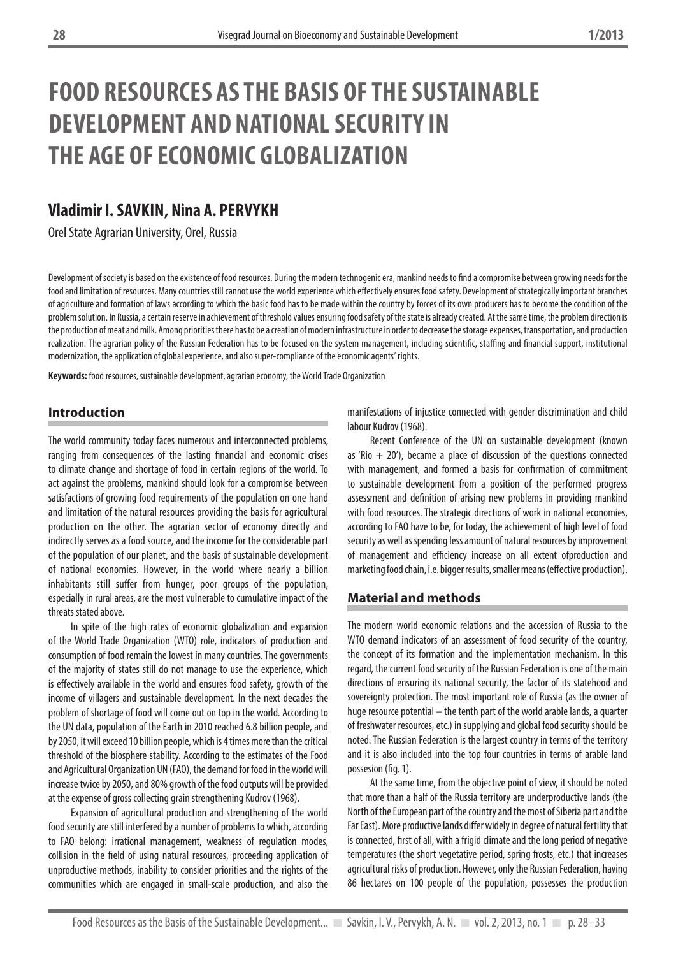# **FOOD RESOURCES AS THE BASIS OF THE SUSTAINABLE DEVELOPMENT AND NATIONAL SECURITY IN THE AGE OF ECONOMIC GLOBALIZATION**

## **Vladimir I. SAVKIN, Nina A. PERVYKH**

Orel State Agrarian University, Orel, Russia

Development of society is based on the existence of food resources. During the modern technogenic era, mankind needs to find a compromise between growing needs for the food and limitation of resources. Many countries still cannot use the world experience which effectively ensures food safety. Development of strategically important branches of agriculture and formation of laws according to which the basic food has to be made within the country by forces of its own producers has to become the condition of the problem solution. In Russia, a certain reserve in achievement of threshold values ensuring food safety of the state is already created. At the same time, the problem direction is the production of meat and milk. Among priorities there has to be a creation of modern infrastructure in order to decrease the storage expenses, transportation, and production realization. The agrarian policy of the Russian Federation has to be focused on the system management, including scientific, staffing and financial support, institutional modernization, the application of global experience, and also super-compliance of the economic agents' rights.

**Keywords:** food resources, sustainable development, agrarian economy, the World Trade Organization

#### **Introduction**

The world community today faces numerous and interconnected problems, ranging from consequences of the lasting financial and economic crises to climate change and shortage of food in certain regions of the world. To act against the problems, mankind should look for a compromise between satisfactions of growing food requirements of the population on one hand and limitation of the natural resources providing the basis for agricultural production on the other. The agrarian sector of economy directly and indirectly serves as a food source, and the income for the considerable part of the population of our planet, and the basis of sustainable development of national economies. However, in the world where nearly a billion inhabitants still suffer from hunger, poor groups of the population, especially in rural areas, are the most vulnerable to cumulative impact of the threats stated above.

In spite of the high rates of economic globalization and expansion of the World Trade Organization (WTO) role, indicators of production and consumption of food remain the lowest in many countries. The governments of the majority of states still do not manage to use the experience, which is effectively available in the world and ensures food safety, growth of the income of villagers and sustainable development. In the next decades the problem of shortage of food will come out on top in the world. According to the UN data, population of the Earth in 2010 reached 6.8 billion people, and by 2050, it will exceed 10 billion people, which is 4 times more than the critical threshold of the biosphere stability. According to the estimates of the Food and Agricultural Organization UN (FAO), the demand for food in the world will increase twice by 2050, and 80% growth of the food outputs will be provided at the expense of gross collecting grain strengthening Kudrov (1968).

Expansion of agricultural production and strengthening of the world food security are still interfered by a number of problems to which, according to FAO belong: irrational management, weakness of regulation modes, collision in the field of using natural resources, proceeding application of unproductive methods, inability to consider priorities and the rights of the communities which are engaged in small-scale production, and also the manifestations of injustice connected with gender discrimination and child labour Kudrov (1968).

Recent Conference of the UN on sustainable development (known as 'Rio  $+$  20'), became a place of discussion of the questions connected with management, and formed a basis for confirmation of commitment to sustainable development from a position of the performed progress assessment and definition of arising new problems in providing mankind with food resources. The strategic directions of work in national economies, according to FAO have to be, for today, the achievement of high level of food security as well as spending less amount of natural resources by improvement of management and efficiency increase on all extent ofproduction and marketing food chain, i.e. bigger results, smaller means (effective production).

#### **Material and methods**

The modern world economic relations and the accession of Russia to the WTO demand indicators of an assessment of food security of the country, the concept of its formation and the implementation mechanism. In this regard, the current food security of the Russian Federation is one of the main directions of ensuring its national security, the factor of its statehood and sovereignty protection. The most important role of Russia (as the owner of huge resource potential – the tenth part of the world arable lands, a quarter of freshwater resources, etc.) in supplying and global food security should be noted. The Russian Federation is the largest country in terms of the territory and it is also included into the top four countries in terms of arable land possesion (fig. 1).

At the same time, from the objective point of view, it should be noted that more than a half of the Russia territory are underproductive lands (the North of the European part of the country and the most of Siberia part and the Far East). More productive lands differ widely in degree of natural fertility that is connected, first of all, with a frigid climate and the long period of negative temperatures (the short vegetative period, spring frosts, etc.) that increases agricultural risks of production. However, only the Russian Federation, having 86 hectares on 100 people of the population, possesses the production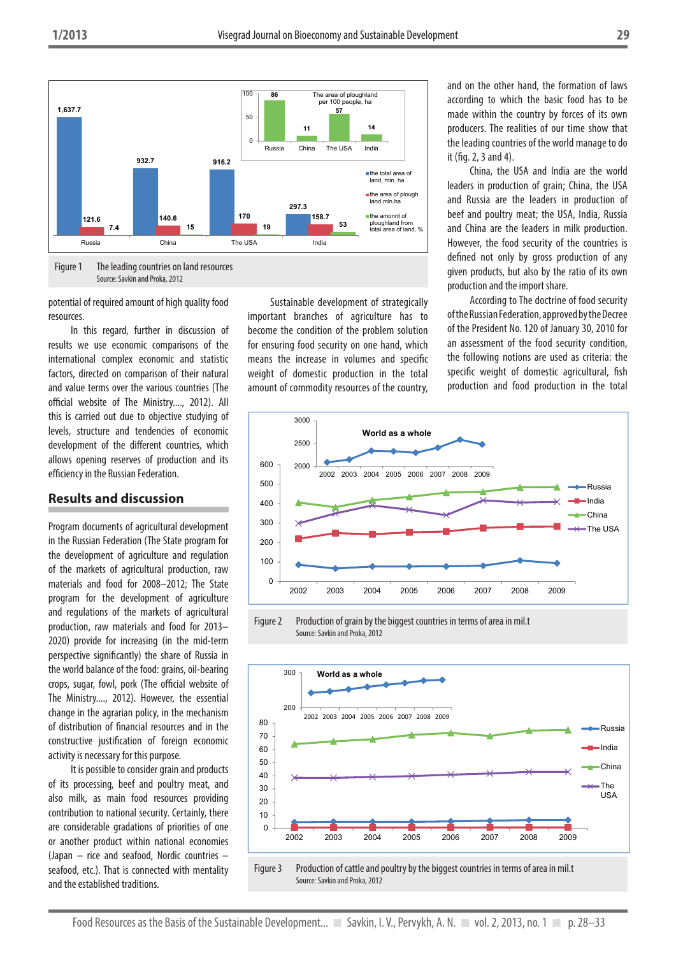

potential of required amount of high quality food resources.

In this regard, further in discussion of results we use economic comparisons of the international complex economic and statistic factors, directed on comparison of their natural and value terms over the various countries (The official website of The Ministry...., 2012). All this is carried out due to objective studying of levels, structure and tendencies of economic development of the different countries, which allows opening reserves of production and its efficiency in the Russian Federation.

#### **Results and discussion**

Program documents of agricultural development in the Russian Federation (The State program for the development of agriculture and regulation of the markets of agricultural production, raw materials and food for 2008–2012; The State program for the development of agriculture and regulations of the markets of agricultural production, raw materials and food for 2013– 2020) provide for increasing (in the mid-term perspective significantly) the share of Russia in the world balance of the food: grains, oil-bearing crops, sugar, fowl, pork (The official website of The Ministry...., 2012). However, the essential change in the agrarian policy, in the mechanism of distribution of financial resources and in the constructive justification of foreign economic activity is necessary for this purpose.

It is possible to consider grain and products of its processing, beef and poultry meat, and also milk, as main food resources providing contribution to national security. Certainly, there are considerable gradations of priorities of one or another product within national economies (Japan – rice and seafood, Nordic countries – seafood, etc.). That is connected with mentality and the established traditions.

Sustainable development of strategically important branches of agriculture has to become the condition of the problem solution for ensuring food security on one hand, which means the increase in volumes and specific weight of domestic production in the total amount of commodity resources of the country,

and on the other hand, the formation of laws according to which the basic food has to be made within the country by forces of its own producers. The realities of our time show that the leading countries of the world manage to do it (fig. 2, 3 and 4).

China, the USA and India are the world leaders in production of grain; China, the USA and Russia are the leaders in production of beef and poultry meat; the USA, India, Russia and China are the leaders in milk production. However, the food security of the countries is defined not only by gross production of any given products, but also by the ratio of its own production and the import share.

According to The doctrine of food security of the Russian Federation, approved by the Decree of the President No. 120 of January 30, 2010 for an assessment of the food security condition, the following notions are used as criteria: the specific weight of domestic agricultural, fish production and food production in the total



Figure 2 Production of grain by the biggest countries in terms of area in mil.t Source: Savkin and Proka, 2012

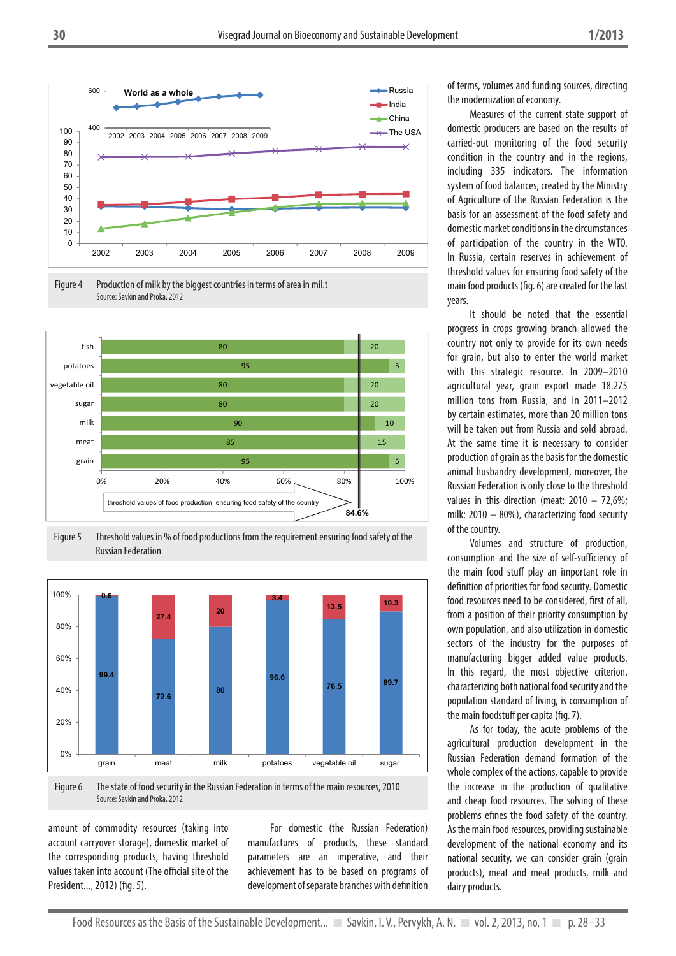





Figure 5 Threshold values in % of food productions from the requirement ensuring food safety of the Russian Federation



Figure 6 The state of food security in the Russian Federation in terms of the main resources, 2010 Source: Savkin and Proka, 2012

amount of commodity resources (taking into account carryover storage), domestic market of the corresponding products, having threshold values taken into account (The official site of the President..., 2012) (fig. 5).

For domestic (the Russian Federation) manufactures of products, these standard parameters are an imperative, and their achievement has to be based on programs of development of separate branches with definition

of terms, volumes and funding sources, directing the modernization of economy.

Measures of the current state support of domestic producers are based on the results of carried-out monitoring of the food security condition in the country and in the regions, including 335 indicators. The information system of food balances, created by the Ministry of Agriculture of the Russian Federation is the basis for an assessment of the food safety and domestic market conditions in the circumstances of participation of the country in the WTO. In Russia, certain reserves in achievement of threshold values for ensuring food safety of the main food products (fig. 6) are created for the last years.

It should be noted that the essential progress in crops growing branch allowed the country not only to provide for its own needs for grain, but also to enter the world market with this strategic resource. In 2009–2010 agricultural year, grain export made 18.275 million tons from Russia, and in 2011–2012 by certain estimates, more than 20 million tons will be taken out from Russia and sold abroad. At the same time it is necessary to consider production of grain as the basis for the domestic animal husbandry development, moreover, the Russian Federation is only close to the threshold values in this direction (meat:  $2010 - 72,6\%$ ; milk: 2010 – 80%), characterizing food security of the country.

Volumes and structure of production, consumption and the size of self-sufficiency of the main food stuff play an important role in definition of priorities for food security. Domestic food resources need to be considered, first of all, from a position of their priority consumption by own population, and also utilization in domestic sectors of the industry for the purposes of manufacturing bigger added value products. In this regard, the most objective criterion, characterizing both national food security and the population standard of living, is consumption of the main foodstuff per capita (fig. 7).

As for today, the acute problems of the agricultural production development in the Russian Federation demand formation of the whole complex of the actions, capable to provide the increase in the production of qualitative and cheap food resources. The solving of these problems efines the food safety of the country. As the main food resources, providing sustainable development of the national economy and its national security, we can consider grain (grain products), meat and meat products, milk and dairy products.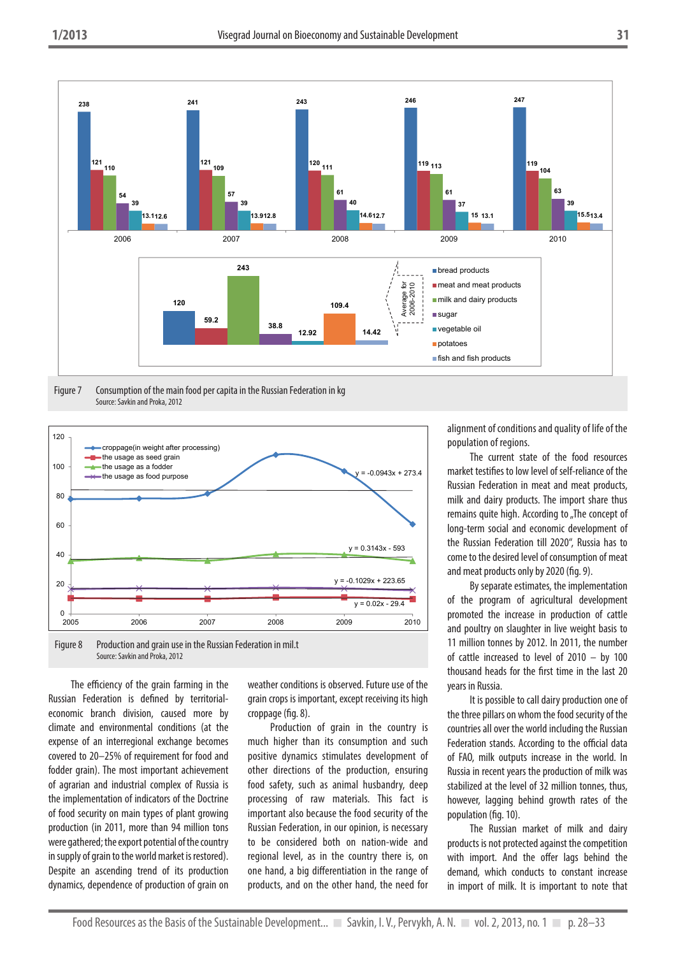

Figure 7 Consumption of the main food per capita in the Russian Federation in kg Source: Savkin and Proka, 2012



Source: Savkin and Proka, 2012

The efficiency of the grain farming in the Russian Federation is defined by territorialeconomic branch division, caused more by climate and environmental conditions (at the expense of an interregional exchange becomes covered to 20–25% of requirement for food and fodder grain). The most important achievement of agrarian and industrial complex of Russia is the implementation of indicators of the Doctrine of food security on main types of plant growing production (in 2011, more than 94 million tons were gathered; the export potential of the country in supply of grain to the world market is restored). Despite an ascending trend of its production dynamics, dependence of production of grain on

weather conditions is observed. Future use of the grain crops is important, except receiving its high croppage (fig. 8).

Production of grain in the country is much higher than its consumption and such positive dynamics stimulates development of other directions of the production, ensuring food safety, such as animal husbandry, deep processing of raw materials. This fact is important also because the food security of the Russian Federation, in our opinion, is necessary to be considered both on nation-wide and regional level, as in the country there is, on one hand, a big differentiation in the range of products, and on the other hand, the need for

alignment of conditions and quality of life of the population of regions.

The current state of the food resources market testifies to low level of self-reliance of the Russian Federation in meat and meat products, milk and dairy products. The import share thus remains quite high. According to "The concept of long-term social and economic development of the Russian Federation till 2020", Russia has to come to the desired level of consumption of meat and meat products only by 2020 (fig. 9).

By separate estimates, the implementation of the program of agricultural development promoted the increase in production of cattle and poultry on slaughter in live weight basis to 11 million tonnes by 2012. In 2011, the number of cattle increased to level of 2010 – by 100 thousand heads for the first time in the last 20 years in Russia.

It is possible to call dairy production one of the three pillars on whom the food security of the countries all over the world including the Russian Federation stands. According to the official data of FAO, milk outputs increase in the world. In Russia in recent years the production of milk was stabilized at the level of 32 million tonnes, thus, however, lagging behind growth rates of the population (fig. 10).

The Russian market of milk and dairy products is not protected against the competition with import. And the offer lags behind the demand, which conducts to constant increase in import of milk. It is important to note that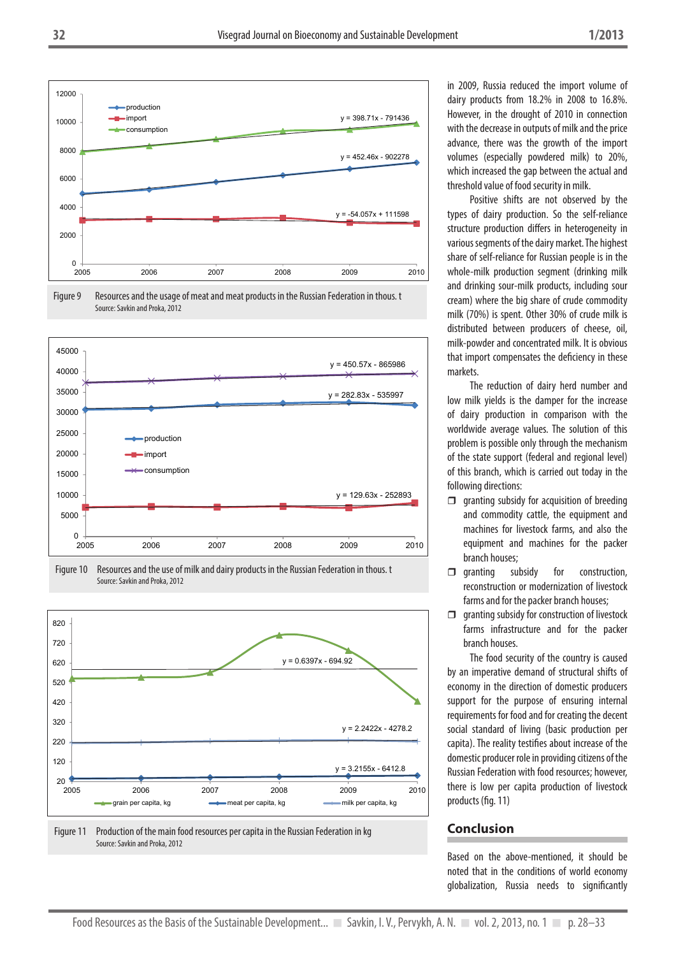

Figure 9 Resources and the usage of meat and meat products in the Russian Federation in thous. t Source: Savkin and Proka, 2012



Figure 10 Resources and the use of milk and dairy products in the Russian Federation in thous. t Source: Savkin and Proka, 2012



Figure 11 Production of the main food resources per capita in the Russian Federation in kg Source: Savkin and Proka, 2012

in 2009, Russia reduced the import volume of dairy products from 18.2% in 2008 to 16.8%. However, in the drought of 2010 in connection with the decrease in outputs of milk and the price advance, there was the growth of the import volumes (especially powdered milk) to 20%, which increased the gap between the actual and threshold value of food security in milk.

Positive shifts are not observed by the types of dairy production. So the self-reliance structure production differs in heterogeneity in various segments of the dairy market. The highest share of self-reliance for Russian people is in the whole-milk production segment (drinking milk and drinking sour-milk products, including sour cream) where the big share of crude commodity milk (70%) is spent. Other 30% of crude milk is distributed between producers of cheese, oil, milk-powder and concentrated milk. It is obvious that import compensates the deficiency in these markets.

The reduction of dairy herd number and low milk yields is the damper for the increase of dairy production in comparison with the worldwide average values. The solution of this problem is possible only through the mechanism of the state support (federal and regional level) of this branch, which is carried out today in the following directions:

- $\Box$  granting subsidy for acquisition of breeding and commodity cattle, the equipment and machines for livestock farms, and also the equipment and machines for the packer branch houses;
- $\Box$  granting subsidy for construction, reconstruction or modernization of livestock farms and for the packer branch houses;
- $\Box$  granting subsidy for construction of livestock farms infrastructure and for the packer branch houses.

The food security of the country is caused by an imperative demand of structural shifts of economy in the direction of domestic producers support for the purpose of ensuring internal requirements for food and for creating the decent social standard of living (basic production per capita). The reality testifies about increase of the domestic producer role in providing citizens of the Russian Federation with food resources; however, there is low per capita production of livestock products (fig. 11)

### **Conclusion**

Based on the above-mentioned, it should be noted that in the conditions of world economy globalization, Russia needs to significantly